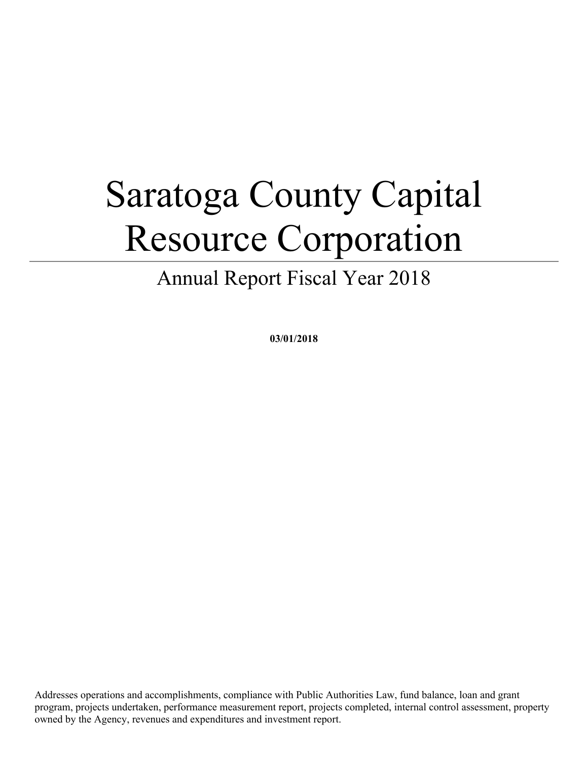# Saratoga County Capital Resource Corporation

Annual Report Fiscal Year 2018

**03/01/2018**

Addresses operations and accomplishments, compliance with Public Authorities Law, fund balance, loan and grant program, projects undertaken, performance measurement report, projects completed, internal control assessment, property owned by the Agency, revenues and expenditures and investment report.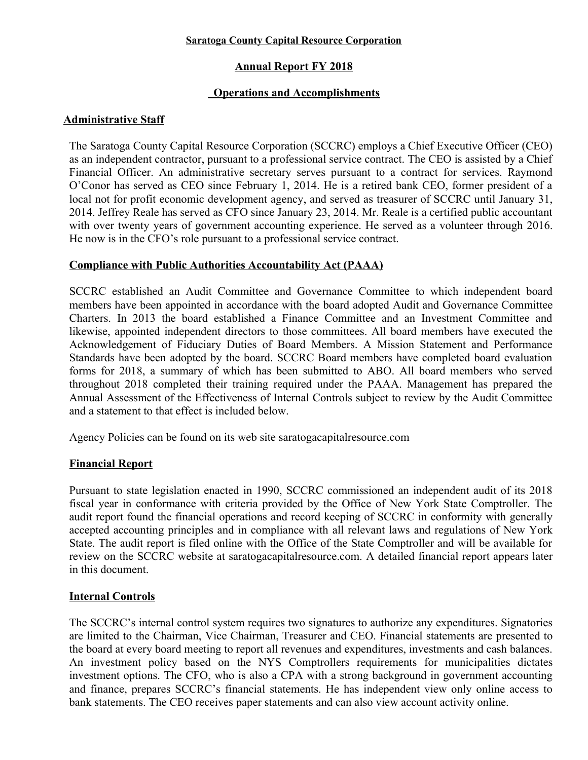#### **Saratoga County Capital Resource Corporation**

# **Annual Report FY 2018**

# **Operations and Accomplishments**

#### **Administrative Staff**

The Saratoga County Capital Resource Corporation (SCCRC) employs a Chief Executive Officer (CEO) as an independent contractor, pursuant to a professional service contract. The CEO is assisted by a Chief Financial Officer. An administrative secretary serves pursuant to a contract for services. Raymond O'Conor has served as CEO since February 1, 2014. He is a retired bank CEO, former president of a local not for profit economic development agency, and served as treasurer of SCCRC until January 31, 2014. Jeffrey Reale has served as CFO since January 23, 2014. Mr. Reale is a certified public accountant with over twenty years of government accounting experience. He served as a volunteer through 2016. He now is in the CFO's role pursuant to a professional service contract.

#### **Compliance with Public Authorities Accountability Act (PAAA)**

SCCRC established an Audit Committee and Governance Committee to which independent board members have been appointed in accordance with the board adopted Audit and Governance Committee Charters. In 2013 the board established a Finance Committee and an Investment Committee and likewise, appointed independent directors to those committees. All board members have executed the Acknowledgement of Fiduciary Duties of Board Members. A Mission Statement and Performance Standards have been adopted by the board. SCCRC Board members have completed board evaluation forms for 2018, a summary of which has been submitted to ABO. All board members who served throughout 2018 completed their training required under the PAAA. Management has prepared the Annual Assessment of the Effectiveness of Internal Controls subject to review by the Audit Committee and a statement to that effect is included below.

Agency Policies can be found on its web site saratogacapitalresource.com

#### **Financial Report**

Pursuant to state legislation enacted in 1990, SCCRC commissioned an independent audit of its 2018 fiscal year in conformance with criteria provided by the Office of New York State Comptroller. The audit report found the financial operations and record keeping of SCCRC in conformity with generally accepted accounting principles and in compliance with all relevant laws and regulations of New York State. The audit report is filed online with the Office of the State Comptroller and will be available for review on the SCCRC website at saratogacapitalresource.com. A detailed financial report appears later in this document.

# **Internal Controls**

The SCCRC's internal control system requires two signatures to authorize any expenditures. Signatories are limited to the Chairman, Vice Chairman, Treasurer and CEO. Financial statements are presented to the board at every board meeting to report all revenues and expenditures, investments and cash balances. An investment policy based on the NYS Comptrollers requirements for municipalities dictates investment options. The CFO, who is also a CPA with a strong background in government accounting and finance, prepares SCCRC's financial statements. He has independent view only online access to bank statements. The CEO receives paper statements and can also view account activity online.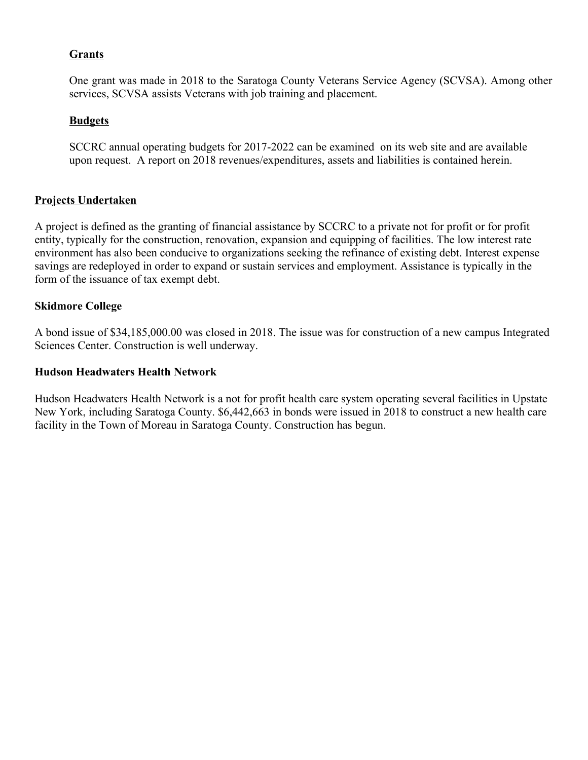#### **Grants**

One grant was made in 2018 to the Saratoga County Veterans Service Agency (SCVSA). Among other services, SCVSA assists Veterans with job training and placement.

#### **Budgets**

SCCRC annual operating budgets for 2017-2022 can be examined on its web site and are available upon request. A report on 2018 revenues/expenditures, assets and liabilities is contained herein.

#### **Projects Undertaken**

A project is defined as the granting of financial assistance by SCCRC to a private not for profit or for profit entity, typically for the construction, renovation, expansion and equipping of facilities. The low interest rate environment has also been conducive to organizations seeking the refinance of existing debt. Interest expense savings are redeployed in order to expand or sustain services and employment. Assistance is typically in the form of the issuance of tax exempt debt.

#### **Skidmore College**

A bond issue of \$34,185,000.00 was closed in 2018. The issue was for construction of a new campus Integrated Sciences Center. Construction is well underway.

#### **Hudson Headwaters Health Network**

Hudson Headwaters Health Network is a not for profit health care system operating several facilities in Upstate New York, including Saratoga County. \$6,442,663 in bonds were issued in 2018 to construct a new health care facility in the Town of Moreau in Saratoga County. Construction has begun.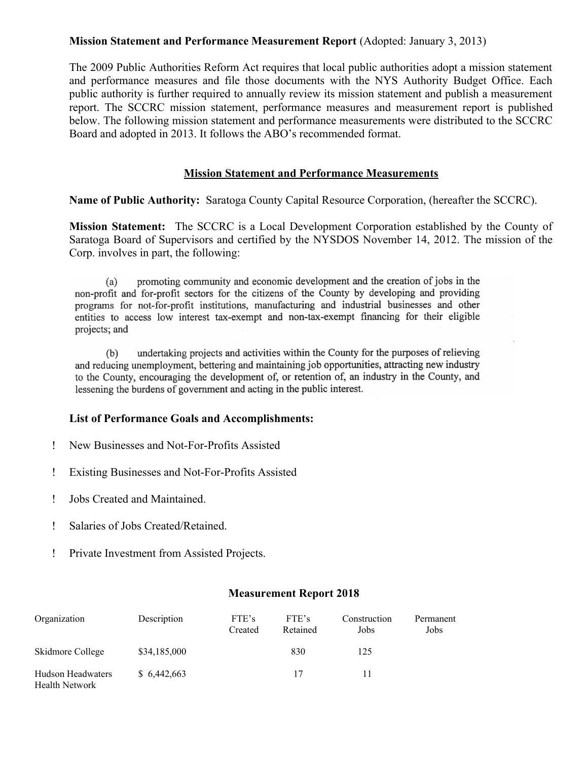#### **Mission Statement and Performance Measurement Report** (Adopted: January 3, 2013)

The 2009 Public Authorities Reform Act requires that local public authorities adopt a mission statement and performance measures and file those documents with the NYS Authority Budget Office. Each public authority is further required to annually review its mission statement and publish a measurement report. The SCCRC mission statement, performance measures and measurement report is published below. The following mission statement and performance measurements were distributed to the SCCRC Board and adopted in 2013. It follows the ABO's recommended format.

#### **Mission Statement and Performance Measurements**

**Name of Public Authority:** Saratoga County Capital Resource Corporation, (hereafter the SCCRC).

**Mission Statement:** The SCCRC is a Local Development Corporation established by the County of Saratoga Board of Supervisors and certified by the NYSDOS November 14, 2012. The mission of the Corp. involves in part, the following:

promoting community and economic development and the creation of jobs in the  $(a)$ non-profit and for-profit sectors for the citizens of the County by developing and providing programs for not-for-profit institutions, manufacturing and industrial businesses and other entities to access low interest tax-exempt and non-tax-exempt financing for their eligible projects; and

undertaking projects and activities within the County for the purposes of relieving  $(b)$ and reducing unemployment, bettering and maintaining job opportunities, attracting new industry to the County, encouraging the development of, or retention of, an industry in the County, and lessening the burdens of government and acting in the public interest.

#### **List of Performance Goals and Accomplishments:**

- New Businesses and Not-For-Profits Assisted
- Existing Businesses and Not-For-Profits Assisted
- Jobs Created and Maintained.
- Salaries of Jobs Created/Retained.
- Private Investment from Assisted Projects.

#### **Measurement Report 2018**

| Organization                               | Description  | FTE's<br>Created | FTE's<br>Retained | Construction<br>Jobs | Permanent<br>Jobs |
|--------------------------------------------|--------------|------------------|-------------------|----------------------|-------------------|
| Skidmore College                           | \$34,185,000 |                  | 830               | 125                  |                   |
| Hudson Headwaters<br><b>Health Network</b> | \$6,442,663  |                  | 17                | 11                   |                   |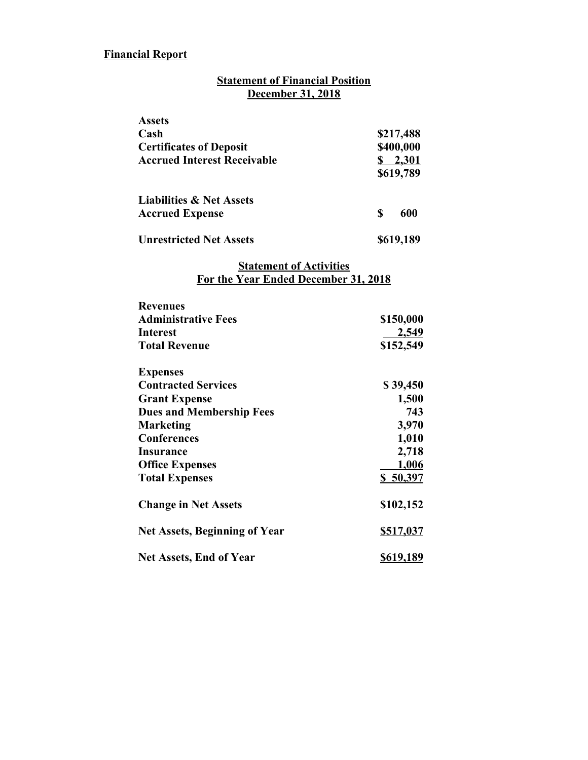# **Financial Report**

# **Statement of Financial Position December 31, 2018**

| <b>Assets</b>                       |                    |
|-------------------------------------|--------------------|
| Cash                                | \$217,488          |
| <b>Certificates of Deposit</b>      | \$400,000          |
| <b>Accrued Interest Receivable</b>  | 2,301<br>\$619,789 |
| <b>Liabilities &amp; Net Assets</b> |                    |
| <b>Accrued Expense</b>              | 600<br>S           |
| <b>Unrestricted Net Assets</b>      | \$619,189          |

#### **Statement of Activities For the Year Ended December 31, 2018**

| <b>Revenues</b>                      |                  |
|--------------------------------------|------------------|
| <b>Administrative Fees</b>           | \$150,000        |
| Interest                             | 2,549            |
| <b>Total Revenue</b>                 | \$152,549        |
| <b>Expenses</b>                      |                  |
| <b>Contracted Services</b>           | \$39,450         |
| <b>Grant Expense</b>                 | 1,500            |
| <b>Dues and Membership Fees</b>      | 743              |
| Marketing                            | 3,970            |
| <b>Conferences</b>                   | 1,010            |
| Insurance                            | 2,718            |
| <b>Office Expenses</b>               | 1,006            |
| <b>Total Expenses</b>                | \$50,397         |
| <b>Change in Net Assets</b>          | \$102,152        |
| <b>Net Assets, Beginning of Year</b> | \$517,037        |
| <b>Net Assets, End of Year</b>       | <u>\$619,189</u> |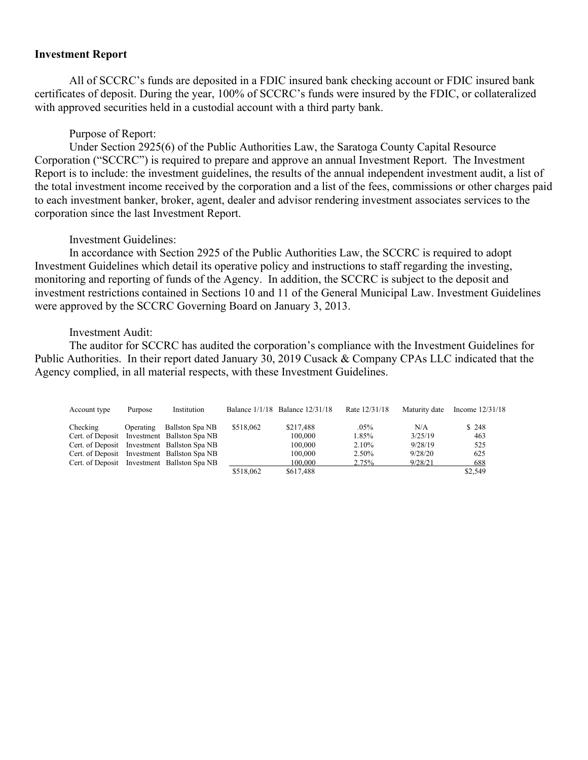#### **Investment Report**

All of SCCRC's funds are deposited in a FDIC insured bank checking account or FDIC insured bank certificates of deposit. During the year, 100% of SCCRC's funds were insured by the FDIC, or collateralized with approved securities held in a custodial account with a third party bank.

#### Purpose of Report:

Under Section 2925(6) of the Public Authorities Law, the Saratoga County Capital Resource Corporation ("SCCRC") is required to prepare and approve an annual Investment Report. The Investment Report is to include: the investment guidelines, the results of the annual independent investment audit, a list of the total investment income received by the corporation and a list of the fees, commissions or other charges paid to each investment banker, broker, agent, dealer and advisor rendering investment associates services to the corporation since the last Investment Report.

#### Investment Guidelines:

In accordance with Section 2925 of the Public Authorities Law, the SCCRC is required to adopt Investment Guidelines which detail its operative policy and instructions to staff regarding the investing, monitoring and reporting of funds of the Agency. In addition, the SCCRC is subject to the deposit and investment restrictions contained in Sections 10 and 11 of the General Municipal Law. Investment Guidelines were approved by the SCCRC Governing Board on January 3, 2013.

#### Investment Audit:

The auditor for SCCRC has audited the corporation's compliance with the Investment Guidelines for Public Authorities. In their report dated January 30, 2019 Cusack & Company CPAs LLC indicated that the Agency complied, in all material respects, with these Investment Guidelines.

| Account type | Purpose   | Institution                                 |           | Balance 1/1/18 Balance 12/31/18 | Rate 12/31/18 | Maturity date | Income $12/31/18$ |
|--------------|-----------|---------------------------------------------|-----------|---------------------------------|---------------|---------------|-------------------|
| Checking     | Operating | Ballston Spa NB                             | \$518,062 | \$217,488                       | .05%          | N/A           | \$248             |
|              |           | Cert. of Deposit Investment Ballston Spa NB |           | 100,000                         | 1.85%         | 3/25/19       | 463               |
|              |           | Cert. of Deposit Investment Ballston Spa NB |           | 100,000                         | $2.10\%$      | 9/28/19       | 525               |
|              |           | Cert. of Deposit Investment Ballston Spa NB |           | 100,000                         | 2.50%         | 9/28/20       | 625               |
|              |           | Cert. of Deposit Investment Ballston Spa NB |           | 100,000                         | 2.75%         | 9/28/21       | 688               |
|              |           |                                             | \$518,062 | \$617.488                       |               |               | \$2,549           |